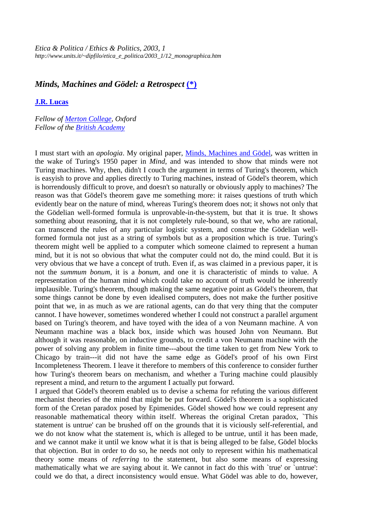## *Minds, Machines and Gödel: a Retrospect* **(\*)**

## **J.R. Lucas**

*Fellow of Merton College, Oxford Fellow of the British Academy* 

I must start with an *apologia*. My original paper, Minds, Machines and Gödel, was written in the wake of Turing's 1950 paper in *Mind*, and was intended to show that minds were not Turing machines. Why, then, didn't I couch the argument in terms of Turing's theorem, which is easyish to prove and applies directly to Turing machines, instead of Gödel's theorem, which is horrendously difficult to prove, and doesn't so naturally or obviously apply to machines? The reason was that Gödel's theorem gave me something more: it raises questions of truth which evidently bear on the nature of mind, whereas Turing's theorem does not; it shows not only that the Gödelian well-formed formula is unprovable-in-the-system, but that it is true. It shows something about reasoning, that it is not completely rule-bound, so that we, who are rational, can transcend the rules of any particular logistic system, and construe the Gödelian wellformed formula not just as a string of symbols but as a proposition which is true. Turing's theorem might well be applied to a computer which someone claimed to represent a human mind, but it is not so obvious that what the computer could not do, the mind could. But it is very obvious that we have a concept of truth. Even if, as was claimed in a previous paper, it is not the *summum bonum*, it is a *bonum*, and one it is characteristic of minds to value. A representation of the human mind which could take no account of truth would be inherently implausible. Turing's theorem, though making the same negative point as Gödel's theorem, that some things cannot be done by even idealised computers, does not make the further positive point that we, in as much as we are rational agents, can do that very thing that the computer cannot. I have however, sometimes wondered whether I could not construct a parallel argument based on Turing's theorem, and have toyed with the idea of a von Neumann machine. A von Neumann machine was a black box, inside which was housed John von Neumann. But although it was reasonable, on inductive grounds, to credit a von Neumann machine with the power of solving any problem in finite time---about the time taken to get from New York to Chicago by train---it did not have the same edge as Gödel's proof of his own First Incompleteness Theorem. I leave it therefore to members of this conference to consider further how Turing's theorem bears on mechanism, and whether a Turing machine could plausibly represent a mind, and return to the argument I actually put forward.

I argued that Gödel's theorem enabled us to devise a schema for refuting the various different mechanist theories of the mind that might be put forward. Gödel's theorem is a sophisticated form of the Cretan paradox posed by Epimenides. Gödel showed how we could represent any reasonable mathematical theory within itself. Whereas the original Cretan paradox, `This statement is untrue' can be brushed off on the grounds that it is viciously self-referential, and we do not know what the statement is, which is alleged to be untrue, until it has been made, and we cannot make it until we know what it is that is being alleged to be false, Gödel blocks that objection. But in order to do so, he needs not only to represent within his mathematical theory some means of *referring* to the statement, but also some means of expressing mathematically what we are saying about it. We cannot in fact do this with 'true' or 'untrue': could we do that, a direct inconsistency would ensue. What Gödel was able to do, however,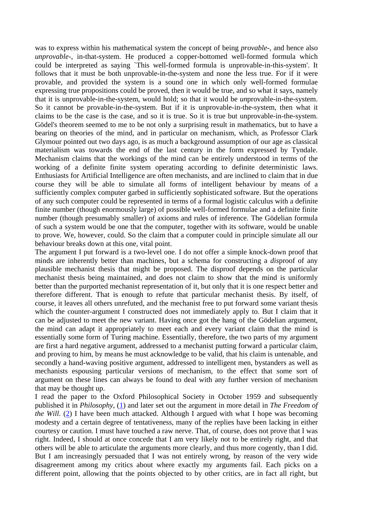was to express within his mathematical system the concept of being *provable-*, and hence also *unprovable-*, in-that-system. He produced a copper-bottomed well-formed formula which could be interpreted as saying `This well-formed formula is unprovable-in-this-system'. It follows that it must be both unprovable-in-the-system and none the less true. For if it were provable, and provided the system is a sound one in which only well-formed formulae expressing true propositions could be proved, then it would be true, and so what it says, namely that it is unprovable-in-the-system, would hold; so that it would be *un*provable-in-the-system. So it cannot be provable-in-the-system. But if it is unprovable-in-the-system, then what it claims to be the case is the case, and so it is true. So it is true but unprovable-in-the-system. Gödel's theorem seemed to me to be not only a surprising result in mathematics, but to have a bearing on theories of the mind, and in particular on mechanism, which, as Professor Clark Glymour pointed out two days ago, is as much a background assumption of our age as classical materialism was towards the end of the last century in the form expressed by Tyndale. Mechanism claims that the workings of the mind can be entirely understood in terms of the working of a definite finite system operating according to definite deterministic laws. Enthusiasts for Artificial Intelligence are often mechanists, and are inclined to claim that in due course they will be able to simulate all forms of intelligent behaviour by means of a sufficiently complex computer garbed in sufficiently sophisticated software. But the operations of any such computer could be represented in terms of a formal logistic calculus with a definite finite number (though enormously large) of possible well-formed formulae and a definite finite number (though presumably smaller) of axioms and rules of inference. The Gödelian formula of such a system would be one that the computer, together with its software, would be unable to prove. We, however, could. So the claim that a computer could in principle simulate all our behaviour breaks down at this one, vital point.

The argument I put forward is a two-level one. I do not offer a simple knock-down proof that minds are inherently better than machines, but a schema for constructing a *dis*proof of any plausible mechanist thesis that might be proposed. The disproof depends on the particular mechanist thesis being maintained, and does not claim to show that the mind is uniformly better than the purported mechanist representation of it, but only that it is one respect better and therefore different. That is enough to refute that particular mechanist thesis. By itself, of course, it leaves all others unrefuted, and the mechanist free to put forward some variant thesis which the counter-argument I constructed does not immediately apply to. But I claim that it can be adjusted to meet the new variant. Having once got the hang of the Gödelian argument, the mind can adapt it appropriately to meet each and every variant claim that the mind is essentially some form of Turing machine. Essentially, therefore, the two parts of my argument are first a hard negative argument, addressed to a mechanist putting forward a particular claim, and proving to him, by means he must acknowledge to be valid, that his claim is untenable, and secondly a hand-waving positive argument, addressed to intelligent men, bystanders as well as mechanists espousing particular versions of mechanism, to the effect that some sort of argument on these lines can always be found to deal with any further version of mechanism that may be thought up.

I read the paper to the Oxford Philosophical Society in October 1959 and subsequently published it in *Philosophy*, (1) and later set out the argument in more detail in *The Freedom of the Will.* (2) I have been much attacked. Although I argued with what I hope was becoming modesty and a certain degree of tentativeness, many of the replies have been lacking in either courtesy or caution. I must have touched a raw nerve. That, of course, does not prove that I was right. Indeed, I should at once concede that I am very likely not to be entirely right, and that others will be able to articulate the arguments more clearly, and thus more cogently, than I did. But I am increasingly persuaded that I was not entirely wrong, by reason of the very wide disagreement among my critics about where exactly my arguments fail. Each picks on a different point, allowing that the points objected to by other critics, are in fact all right, but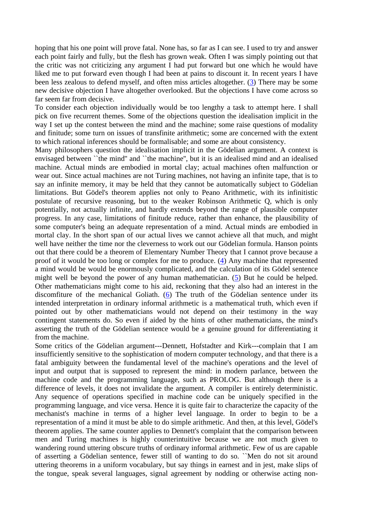hoping that his one point will prove fatal. None has, so far as I can see. I used to try and answer each point fairly and fully, but the flesh has grown weak. Often I was simply pointing out that the critic was not criticizing any argument I had put forward but one which he would have liked me to put forward even though I had been at pains to discount it. In recent years I have been less zealous to defend myself, and often miss articles altogether. (3) There may be some new decisive objection I have altogether overlooked. But the objections I have come across so far seem far from decisive.

To consider each objection individually would be too lengthy a task to attempt here. I shall pick on five recurrent themes. Some of the objections question the idealisation implicit in the way I set up the contest between the mind and the machine; some raise questions of modality and finitude; some turn on issues of transfinite arithmetic; some are concerned with the extent to which rational inferences should be formalisable; and some are about consistency.

Many philosophers question the idealisation implicit in the Gödelian argument. A context is envisaged between ``the mind'' and ``the machine'', but it is an idealised mind and an idealised machine. Actual minds are embodied in mortal clay; actual machines often malfunction or wear out. Since actual machines are not Turing machines, not having an infinite tape, that is to say an infinite memory, it may be held that they cannot be automatically subject to Gödelian limitations. But Gödel's theorem applies not only to Peano Arithmetic, with its infinitistic postulate of recursive reasoning, but to the weaker Robinson Arithmetic Q, which is only potentially, not actually infinite, and hardly extends beyond the range of plausible computer progress. In any case, limitations of finitude reduce, rather than enhance, the plausibility of some computer's being an adequate representation of a mind. Actual minds are embodied in mortal clay. In the short span of our actual lives we cannot achieve all that much, and might well have neither the time nor the cleverness to work out our Gödelian formula. Hanson points out that there could be a theorem of Elementary Number Theory that I cannot prove because a proof of it would be too long or complex for me to produce. (4) Any machine that represented a mind would be would be enormously complicated, and the calculation of its Gödel sentence might well be beyond the power of any human mathematician. (5) But he could be helped. Other mathematicians might come to his aid, reckoning that they also had an interest in the discomfiture of the mechanical Goliath.  $(6)$  The truth of the Gödelian sentence under its intended interpretation in ordinary informal arithmetic is a mathematical truth, which even if pointed out by other mathematicians would not depend on their testimony in the way contingent statements do. So even if aided by the hints of other mathematicians, the mind's asserting the truth of the Gödelian sentence would be a genuine ground for differentiating it from the machine.

Some critics of the Gödelian argument---Dennett, Hofstadter and Kirk---complain that I am insufficiently sensitive to the sophistication of modern computer technology, and that there is a fatal ambiguity between the fundamental level of the machine's operations and the level of input and output that is supposed to represent the mind: in modern parlance, between the machine code and the programming language, such as PROLOG. But although there is a difference of levels, it does not invalidate the argument. A compiler is entirely deterministic. Any sequence of operations specified in machine code can be uniquely specified in the programming language, and vice versa. Hence it is quite fair to characterize the capacity of the mechanist's machine in terms of a higher level language. In order to begin to be a representation of a mind it must be able to do simple arithmetic. And then, at this level, Gödel's theorem applies. The same counter applies to Dennett's complaint that the comparison between men and Turing machines is highly counterintuitive because we are not much given to wandering round uttering obscure truths of ordinary informal arithmetic. Few of us are capable of asserting a Gödelian sentence, fewer still of wanting to do so. ``Men do not sit around uttering theorems in a uniform vocabulary, but say things in earnest and in jest, make slips of the tongue, speak several languages, signal agreement by nodding or otherwise acting non-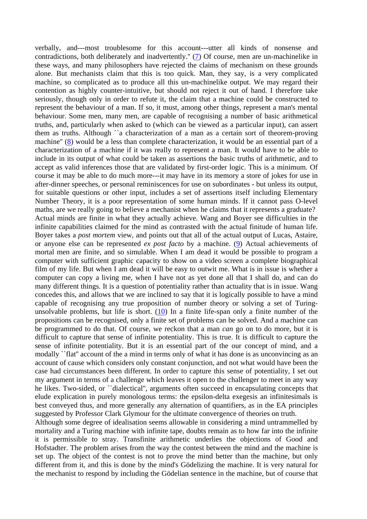verbally, and---most troublesome for this account---utter all kinds of nonsense and contradictions, both deliberately and inadvertently.'' (7) Of course, men are un-machinelike in these ways, and many philosophers have rejected the claims of mechanism on these grounds alone. But mechanists claim that this is too quick. Man, they say, is a very complicated machine, so complicated as to produce all this un-machinelike output. We may regard their contention as highly counter-intuitive, but should not reject it out of hand. I therefore take seriously, though only in order to refute it, the claim that a machine could be constructed to represent the behaviour of a man. If so, it must, among other things, represent a man's mental behaviour. Some men, many men, are capable of recognising a number of basic arithmetical truths, and, particularly when asked to (which can be viewed as a particular input), can assert them as truths. Although ``a characterization of a man as a certain sort of theorem-proving machine'' (8) would be a less than complete characterization, it would be an essential part of a characterization of a machine if it was really to represent a man. It would have to be able to include in its output of what could be taken as assertions the basic truths of arithmetic, and to accept as valid inferences those that are validated by first-order logic. This is a minimum. Of course it may be able to do much more---it may have in its memory a store of jokes for use in after-dinner speeches, or personal reminiscences for use on subordinates - but unless its output, for suitable questions or other input, includes a set of assertions itself including Elementary Number Theory, it is a poor representation of some human minds. If it cannot pass O-level maths, are we really going to believe a mechanist when he claims that it represents a graduate? Actual minds are finite in what they actually achieve. Wang and Boyer see difficulties in the infinite capabilities claimed for the mind as contrasted with the actual finitude of human life. Boyer takes a *post mortem* view, and points out that all of the actual output of Lucas, Astaire, or anyone else can be represented *ex post facto* by a machine. (9) Actual achievements of mortal men are finite, and so simulable. When I am dead it would be possible to program a computer with sufficient graphic capacity to show on a video screen a complete biographical film of my life. But when I am dead it will be easy to outwit me. What is in issue is whether a computer can copy a living me, when I have not as yet done all that I shall do, and can do many different things. It is a question of potentiality rather than actuality that is in issue. Wang concedes this, and allows that we are inclined to say that it is logically possible to have a mind capable of recognising any true proposition of number theory or solving a set of Turingunsolvable problems, but life is short.  $(10)$  In a finite life-span only a finite number of the propositions can be recognised, only a finite set of problems can be solved. And a machine can be programmed to do that. Of course, we reckon that a man *can* go on to do more, but it is difficult to capture that sense of infinite potentiality. This is true. It is difficult to capture the sense of infinite potentiality. But it is an essential part of the our concept of mind, and a modally ``flat'' account of the a mind in terms only of what it has done is as unconvincing as an account of cause which considers only constant conjunction, and not what would have been the case had circumstances been different. In order to capture this sense of potentiality, I set out my argument in terms of a challenge which leaves it open to the challenger to meet in any way he likes. Two-sided, or ``dialectical'', arguments often succeed in encapsulating concepts that elude explication in purely monologous terms: the epsilon-delta exegesis an infinitesimals is best conveyed thus, and more generally any alternation of quantifiers, as in the EA principles suggested by Professor Clark Glymour for the ultimate convergence of theories on truth.

Although some degree of idealisation seems allowable in considering a mind untrammelled by mortality and a Turing machine with infinite tape, doubts remain as to how far into the infinite it is permissible to stray. Transfinite arithmetic underlies the objections of Good and Hofstadter. The problem arises from the way the contest between the mind and the machine is set up. The object of the contest is not to prove the mind better than the machine, but only different from it, and this is done by the mind's Gödelizing the machine. It is very natural for the mechanist to respond by including the Gödelian sentence in the machine, but of course that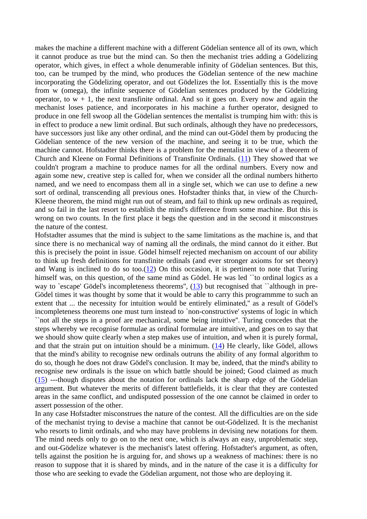makes the machine a different machine with a different Gödelian sentence all of its own, which it cannot produce as true but the mind can. So then the mechanist tries adding a Gödelizing operator, which gives, in effect a whole denumerable infinity of Gödelian sentences. But this, too, can be trumped by the mind, who produces the Gödelian sentence of the new machine incorporating the Gödelizing operator, and out Gödelizes the lot. Essentially this is the move from w (omega), the infinite sequence of Gödelian sentences produced by the Gödelizing operator, to  $w + 1$ , the next transfinite ordinal. And so it goes on. Every now and again the mechanist loses patience, and incorporates in his machine a further operator, designed to produce in one fell swoop all the Gödelian sentences the mentalist is trumping him with: this is in effect to produce a new limit ordinal. But such ordinals, although they have no predecessors, have successors just like any other ordinal, and the mind can out-Gödel them by producing the Gödelian sentence of the new version of the machine, and seeing it to be true, which the machine cannot. Hofstadter thinks there is a problem for the mentalist in view of a theorem of Church and Kleene on Formal Definitions of Transfinite Ordinals. (11) They showed that we couldn't program a machine to produce names for all the ordinal numbers. Every now and again some new, creative step is called for, when we consider all the ordinal numbers hitherto named, and we need to encompass them all in a single set, which we can use to define a new sort of ordinal, transcending all previous ones. Hofstadter thinks that, in view of the Church-Kleene theorem, the mind might run out of steam, and fail to think up new ordinals as required, and so fail in the last resort to establish the mind's difference from some machine. But this is wrong on two counts. In the first place it begs the question and in the second it misconstrues the nature of the contest.

Hofstadter assumes that the mind is subject to the same limitations as the machine is, and that since there is no mechanical way of naming all the ordinals, the mind cannot do it either. But this is precisely the point in issue. Gödel himself rejected mechanism on account of our ability to think up fresh definitions for transfinite ordinals (and ever stronger axioms for set theory) and Wang is inclined to do so too. $(12)$  On this occasion, it is pertinent to note that Turing himself was, on this question, of the same mind as Gödel. He was led "to ordinal logics as a way to 'escape' Gödel's incompleteness theorems'',  $(13)$  but recognised that ''although in pre-Gödel times it was thought by some that it would be able to carry this programmme to such an extent that ... the necessity for intuition would be entirely eliminated," as a result of Gödel's incompleteness theorems one must turn instead to `non-constructive' systems of logic in which ``not all the steps in a proof are mechanical, some being intuitive''. Turing concedes that the steps whereby we recognise formulae as ordinal formulae are intuitive, and goes on to say that we should show quite clearly when a step makes use of intuition, and when it is purely formal, and that the strain put on intuition should be a minimum. (14) He clearly, like Gödel, allows that the mind's ability to recognise new ordinals outruns the ability of any formal algorithm to do so, though he does not draw Gödel's conclusion. It may be, indeed, that the mind's ability to recognise new ordinals is the issue on which battle should be joined; Good claimed as much (15) ---though disputes about the notation for ordinals lack the sharp edge of the Gödelian argument. But whatever the merits of different battlefields, it is clear that they are contested areas in the same conflict, and undisputed possession of the one cannot be claimed in order to assert possession of the other.

In any case Hofstadter misconstrues the nature of the contest. All the difficulties are on the side of the mechanist trying to devise a machine that cannot be out-Gödelized. It is the mechanist who resorts to limit ordinals, and who may have problems in devising new notations for them. The mind needs only to go on to the next one, which is always an easy, unproblematic step, and out-Gödelize whatever is the mechanist's latest offering. Hofstadter's argument, as often, tells against the position he is arguing for, and shows up a weakness of machines: there is no reason to suppose that it is shared by minds, and in the nature of the case it is a difficulty for those who are seeking to evade the Gödelian argument, not those who are deploying it.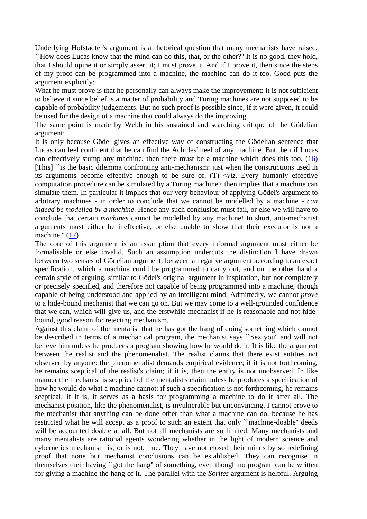Underlying Hofstadter's argument is a rhetorical question that many mechanists have raised. ``How does Lucas know that the mind can do this, that, or the other?'' It is no good, they hold, that I should opine it or simply assert it; I must prove it. And if I prove it, then since the steps of my proof can be programmed into a machine, the machine can do it too. Good puts the argument explicitly:

What he must prove is that he personally can always make the improvement: it is not sufficient to believe it since belief is a matter of probability and Turing machines are not supposed to be capable of probability judgements. But no such proof is possible since, if it were given, it could be used for the design of a machine that could always do the improving.

The same point is made by Webb in his sustained and searching critique of the Gödelian argument:

It is only because Gödel gives an effective way of constructing the Gödelian sentence that Lucas can feel confident that he can find the Achilles' heel of any machine. But then if Lucas can effectively stump any machine, then there must be a machine which does this too.  $(16)$ [This] "is the basic dilemma confronting anti-mechanism: just when the constructions used in its arguments become effective enough to be sure of, (T) <*viz*. Every humanly effective computation procedure can be simulated by a Turing machine> then implies that a machine can simulate them. In particular it implies that our very behaviour of applying Gödel's argument to arbitrary machines - in order to conclude that we cannot be modelled by a machine - *can indeed be modelled by a machine*. Hence any such conclusion must fail, or else we will have to conclude that certain *machines* cannot be modelled by any machine! In short, anti-mechanist arguments must either be ineffective, or else unable to show that their executor is not a machine." (17)

The core of this argument is an assumption that every informal argument must either be formalisable or else invalid. Such an assumption undercuts the distinction I have drawn between two senses of Gödelian argument: between a negative argument according to an exact specification, which a machine could be programmed to carry out, and on the other hand a certain style of arguing, similar to Gödel's original argument in inspiration, but not completely or precisely specified, and therefore not capable of being programmed into a machine, though capable of being understood and applied by an intelligent mind. Admittedly, we cannot *prove* to a hide-bound mechanist that we can go on. But we may come to a well-grounded confidence that we can, which will give us, and the erstwhile mechanist if he is reasonable and not hidebound, good reason for rejecting mechanism.

Against this claim of the mentalist that he has got the hang of doing something which cannot be described in terms of a mechanical program, the mechanist says ``Sez you'' and will not believe him unless he produces a program showing how he would do it. It is like the argument between the realist and the phenomenalist. The realist claims that there exist entities not observed by anyone: the phenomenalist demands empirical evidence; if it is not forthcoming, he remains sceptical of the realist's claim; if it is, then the entity is not unobserved. In like manner the mechanist is sceptical of the mentalist's claim unless he produces a specification of how he would do what a machine cannot: if such a specification is not forthcoming, he remains sceptical; if it is, it serves as a basis for programming a machine to do it after all. The mechanist position, like the phenomenalist, is invulnerable but unconvincing. I cannot prove to the mechanist that anything can be done other than what a machine can do, because he has restricted what he will accept as a proof to such an extent that only ``machine-doable'' deeds will be accounted doable at all. But not all mechanists are so limited. Many mechanists and many mentalists are rational agents wondering whether in the light of modern science and cybernetics mechanism is, or is not, true. They have not closed their minds by so redefining proof that none but mechanist conclusions can be established. They can recognise in themselves their having ``got the hang'' of something, even though no program can be written for giving a machine the hang of it. The parallel with the *Sorites* argument is helpful. Arguing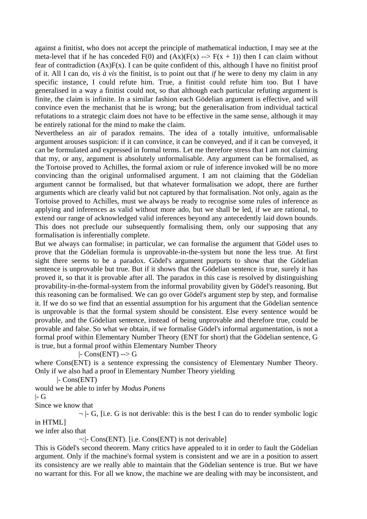against a finitist, who does not accept the principle of mathematical induction, I may see at the meta-level that if he has conceded F(0) and  $(Ax)(F(x) \rightarrow F(x + 1))$  then I can claim without fear of contradiction (Ax)F(x). I can be quite confident of this, although I have no finitist proof of it. All I can do, *vis à vis* the finitist, is to point out that *if* he were to deny my claim in any specific instance, I could refute him. True, a finitist could refute him too. But I have generalised in a way a finitist could not, so that although each particular refuting argument is finite, the claim is infinite. In a similar fashion each Gödelian argument is effective, and will convince even the mechanist that he is wrong; but the generalisation from individual tactical refutations to a strategic claim does not have to be effective in the same sense, although it may be entirely rational for the mind to make the claim.

Nevertheless an air of paradox remains. The idea of a totally intuitive, unformalisable argument arouses suspicion: if it can convince, it can be conveyed, and if it can be conveyed, it can be formulated and expressed in formal terms. Let me therefore stress that I am not claiming that my, or any, argument is absolutely unformalisable. Any argument can be formalised, as the Tortoise proved to Achilles, the formal axiom or rule of inference invoked will be no more convincing than the original unformalised argument. I am not claiming that the Gödelian argument cannot be formalised, but that whatever formalisation we adopt, there are further arguments which are clearly valid but not captured by that formalisation. Not only, again as the Tortoise proved to Achilles, must we always be ready to recognise some rules of inference as applying and inferences as valid without more ado, but we shall be led, if we are rational, to extend our range of acknowledged valid inferences beyond any antecedently laid down bounds. This does not preclude our subsequently formalising them, only our supposing that any formalisation is inferentially complete.

But we always can formalise; in particular, we can formalise the argument that Gödel uses to prove that the Gödelian formula is unprovable-in-the-system but none the less true. At first sight there seems to be a paradox. Gödel's argument purports to show that the Gödelian sentence is unprovable but true. But if it shows that the Gödelian sentence is true, surely it has proved it, so that it is provable after all. The paradox in this case is resolved by distinguishing provability-in-the-formal-system from the informal provability given by Gödel's reasoning. But this reasoning can be formalised. We can go over Gödel's argument step by step, and formalise it. If we do so we find that an essential assumption for his argument that the Gödelian sentence is unprovable is that the formal system should be consistent. Else every sentence would be provable, and the Gödelian sentence, instead of being unprovable and therefore true, could be provable and false. So what we obtain, if we formalise Gödel's informal argumentation, is not a formal proof within Elementary Number Theory (ENT for short) that the Gödelian sentence, G is true, but a formal proof within Elementary Number Theory

## |- Cons(ENT) --> G

where Cons(ENT) is a sentence expressing the consistency of Elementary Number Theory. Only if we also had a proof in Elementary Number Theory yielding

|- Cons(ENT)

would we be able to infer by *Modus Ponens* 

 $\mathsf{L}$  G

Since we know that

 $\neg$  |- G, [i.e. G is not derivable: this is the best I can do to render symbolic logic in HTML]

we infer also that

¬:|- Cons(ENT). [i.e. Cons(ENT) is not derivable]

This is Gödel's second theorem. Many critics have appealed to it in order to fault the Gödelian argument. Only if the machine's formal system is consistent and we are in a position to assert its consistency are we really able to maintain that the Gödelian sentence is true. But we have no warrant for this. For all we know, the machine we are dealing with may be inconsistent, and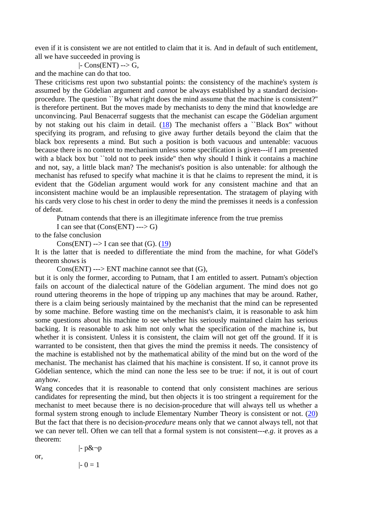even if it is consistent we are not entitled to claim that it is. And in default of such entitlement, all we have succeeded in proving is

 $\text{L}$  Cons(ENT) --> G.

and the machine can do that too.

These criticisms rest upon two substantial points: the consistency of the machine's system *is* assumed by the Gödelian argument and *cannot* be always established by a standard decisionprocedure. The question ``By what right does the mind assume that the machine is consistent?'' is therefore pertinent. But the moves made by mechanists to deny the mind that knowledge are unconvincing. Paul Benacerraf suggests that the mechanist can escape the Gödelian argument by not staking out his claim in detail. (18) The mechanist offers a ``Black Box'' without specifying its program, and refusing to give away further details beyond the claim that the black box represents a mind. But such a position is both vacuous and untenable: vacuous because there is no content to mechanism unless some specification is given---if I am presented with a black box but "told not to peek inside" then why should I think it contains a machine and not, say, a little black man? The mechanist's position is also untenable: for although the mechanist has refused to specify what machine it is that he claims to represent the mind, it is evident that the Gödelian argument would work for any consistent machine and that an inconsistent machine would be an implausible representation. The stratagem of playing with his cards very close to his chest in order to deny the mind the premisses it needs is a confession of defeat.

Putnam contends that there is an illegitimate inference from the true premiss

I can see that  $(Cons(ENT)$  ---> G)

to the false conclusion

Cons(ENT) --> I can see that  $(G)$ .  $(19)$ 

It is the latter that is needed to differentiate the mind from the machine, for what Gödel's theorem shows is

 $Cons(ENT)$  ---> ENT machine cannot see that  $(G)$ ,

but it is only the former, according to Putnam, that I am entitled to assert. Putnam's objection fails on account of the dialectical nature of the Gödelian argument. The mind does not go round uttering theorems in the hope of tripping up any machines that may be around. Rather, there is a claim being seriously maintained by the mechanist that the mind can be represented by some machine. Before wasting time on the mechanist's claim, it is reasonable to ask him some questions about his machine to see whether his seriously maintained claim has serious backing. It is reasonable to ask him not only what the specification of the machine is, but whether it is consistent. Unless it is consistent, the claim will not get off the ground. If it is warranted to be consistent, then that gives the mind the premiss it needs. The consistency of the machine is established not by the mathematical ability of the mind but on the word of the mechanist. The mechanist has claimed that his machine is consistent. If so, it cannot prove its Gödelian sentence, which the mind can none the less see to be true: if not, it is out of court anyhow.

Wang concedes that it is reasonable to contend that only consistent machines are serious candidates for representing the mind, but then objects it is too stringent a requirement for the mechanist to meet because there is no decision-procedure that will always tell us whether a formal system strong enough to include Elementary Number Theory is consistent or not. (20) But the fact that there is no decision-*procedure* means only that we cannot always tell, not that we can never tell. Often we can tell that a formal system is not consistent---*e.g*. it proves as a theorem:

|- p&¬p

or,

 $|- 0 = 1$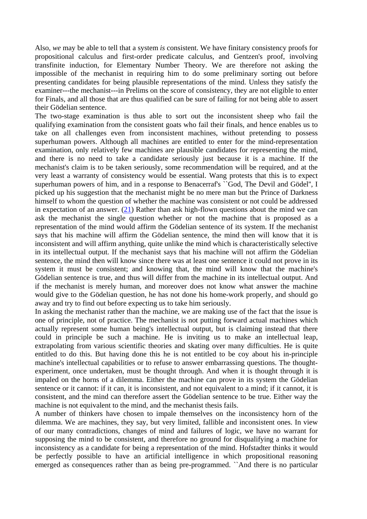Also, *we* may be able to tell that a system *is* consistent. We have finitary consistency proofs for propositional calculus and first-order predicate calculus, and Gentzen's proof, involving transfinite induction, for Elementary Number Theory. We are therefore not asking the impossible of the mechanist in requiring him to do some preliminary sorting out before presenting candidates for being plausible representations of the mind. Unless they satisfy the examiner---the mechanist---in Prelims on the score of consistency, they are not eligible to enter for Finals, and all those that are thus qualified can be sure of failing for not being able to assert their Gödelian sentence.

The two-stage examination is thus able to sort out the inconsistent sheep who fail the qualifying examination from the consistent goats who fail their finals, and hence enables us to take on all challenges even from inconsistent machines, without pretending to possess superhuman powers. Although all machines are entitled to enter for the mind-representation examination, only relatively few machines are plausible candidates for representing the mind, and there is no need to take a candidate seriously just because it is a machine. If the mechanist's claim is to be taken seriously, some recommendation will be required, and at the very least a warranty of consistency would be essential. Wang protests that this is to expect superhuman powers of him, and in a response to Benacerraf's ``God, The Devil and Gödel'', I picked up his suggestion that the mechanist might be no mere man but the Prince of Darkness himself to whom the question of whether the machine was consistent or not could be addressed in expectation of an answer.  $(21)$  Rather than ask high-flown questions about the mind we can ask the mechanist the single question whether or not the machine that is proposed as a representation of the mind would affirm the Gödelian sentence of its system. If the mechanist says that his machine will affirm the Gödelian sentence, the mind then will know that it is inconsistent and will affirm anything, quite unlike the mind which is characteristically selective in its intellectual output. If the mechanist says that his machine will not affirm the Gödelian sentence, the mind then will know since there was at least one sentence it could not prove in its system it must be consistent; and knowing that, the mind will know that the machine's Gödelian sentence is true, and thus will differ from the machine in its intellectual output. And if the mechanist is merely human, and moreover does not know what answer the machine would give to the Gödelian question, he has not done his home-work properly, and should go away and try to find out before expecting us to take him seriously.

In asking the mechanist rather than the machine, we are making use of the fact that the issue is one of principle, not of practice. The mechanist is not putting forward actual machines which actually represent some human being's intellectual output, but is claiming instead that there could in principle be such a machine. He is inviting us to make an intellectual leap, extrapolating from various scientific theories and skating over many difficulties. He is quite entitled to do this. But having done this he is not entitled to be coy about his in-principle machine's intellectual capabilities or to refuse to answer embarrassing questions. The thoughtexperiment, once undertaken, must be thought through. And when it is thought through it is impaled on the horns of a dilemma. Either the machine can prove in its system the Gödelian sentence or it cannot: if it can, it is inconsistent, and not equivalent to a mind; if it cannot, it is consistent, and the mind can therefore assert the Gödelian sentence to be true. Either way the machine is not equivalent to the mind, and the mechanist thesis fails.

A number of thinkers have chosen to impale themselves on the inconsistency horn of the dilemma. We are machines, they say, but very limited, fallible and inconsistent ones. In view of our many contradictions, changes of mind and failures of logic, we have no warrant for supposing the mind to be consistent, and therefore no ground for disqualifying a machine for inconsistency as a candidate for being a representation of the mind. Hofstadter thinks it would be perfectly possible to have an artificial intelligence in which propositional reasoning emerged as consequences rather than as being pre-programmed. ``And there is no particular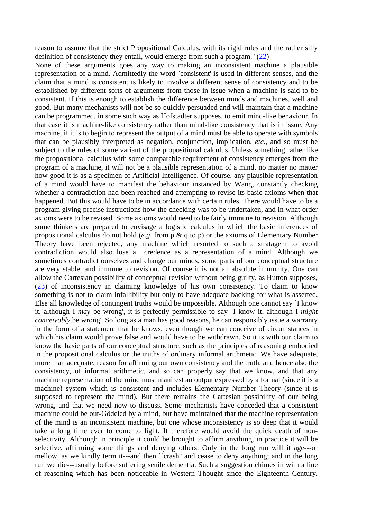reason to assume that the strict Propositional Calculus, with its rigid rules and the rather silly definition of consistency they entail, would emerge from such a program.'' (22)

None of these arguments goes any way to making an inconsistent machine a plausible representation of a mind. Admittedly the word `consistent' is used in different senses, and the claim that a mind is consistent is likely to involve a different sense of consistency and to be established by different sorts of arguments from those in issue when a machine is said to be consistent. If this is enough to establish the difference between minds and machines, well and good. But many mechanists will not be so quickly persuaded and will maintain that a machine can be programmed, in some such way as Hofstadter supposes, to emit mind-like behaviour. In that case it is machine-like consistency rather than mind-like consistency that is in issue. Any machine, if it is to begin to represent the output of a mind must be able to operate with symbols that can be plausibly interpreted as negation, conjunction, implication, *etc*., and so must be subject to the rules of some variant of the propositional calculus. Unless something rather like the propositional calculus with some comparable requirement of consistency emerges from the program of a machine, it will not be a plausible representation of a mind, no matter no matter how good it is as a specimen of Artificial Intelligence. Of course, any plausible representation of a mind would have to manifest the behaviour instanced by Wang, constantly checking whether a contradiction had been reached and attempting to revise its basic axioms when that happened. But this would have to be in accordance with certain rules. There would have to be a program giving precise instructions how the checking was to be undertaken, and in what order axioms were to be revised. Some axioms would need to be fairly immune to revision. Although some thinkers are prepared to envisage a logistic calculus in which the basic inferences of propositional calculus do not hold (*e.g*. from p & q to p) or the axioms of Elementary Number Theory have been rejected, any machine which resorted to such a stratagem to avoid contradiction would also lose all credence as a representation of a mind. Although we sometimes contradict ourselves and change our minds, some parts of our conceptual structure are very stable, and immune to revision. Of course it is not an absolute immunity. One can allow the Cartesian possibility of conceptual revision without being guilty, as Hutton supposes, (23) of inconsistency in claiming knowledge of his own consistency. To claim to know something is not to claim infallibility but only to have adequate backing for what is asserted. Else all knowledge of contingent truths would be impossible. Although one cannot say `I know it, although I *may* be wrong', it is perfectly permissible to say `I know it, although I *might conceivably* be wrong'. So long as a man has good reasons, he can responsibly issue a warranty in the form of a statement that he knows, even though we can conceive of circumstances in which his claim would prove false and would have to be withdrawn. So it is with our claim to know the basic parts of our conceptual structure, such as the principles of reasoning embodied in the propositional calculus or the truths of ordinary informal arithmetic. We have adequate, more than adequate, reason for affirming our own consistency and the truth, and hence also the consistency, of informal arithmetic, and so can properly say that we know, and that any machine representation of the mind must manifest an output expressed by a formal (since it is a machine) system which is consistent and includes Elementary Number Theory (since it is supposed to represent the mind). But there remains the Cartesian possibility of our being wrong, and that we need now to discuss. Some mechanists have conceded that a consistent machine could be out-Gödeled by a mind, but have maintained that the machine representation of the mind is an inconsistent machine, but one whose inconsistency is so deep that it would take a long time ever to come to light. It therefore would avoid the quick death of nonselectivity. Although in principle it could be brought to affirm anything, in practice it will be selective, affirming some things and denying others. Only in the long run will it age---or mellow, as we kindly term it---and then ``crash" and cease to deny anything; and in the long run we die---usually before suffering senile dementia. Such a suggestion chimes in with a line of reasoning which has been noticeable in Western Thought since the Eighteenth Century.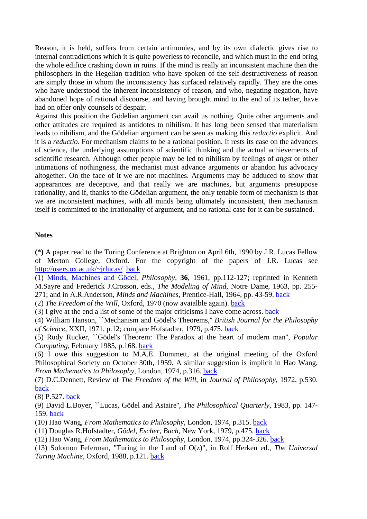Reason, it is held, suffers from certain antinomies, and by its own dialectic gives rise to internal contradictions which it is quite powerless to reconcile, and which must in the end bring the whole edifice crashing down in ruins. If the mind is really an inconsistent machine then the philosophers in the Hegelian tradition who have spoken of the self-destructiveness of reason are simply those in whom the inconsistency has surfaced relatively rapidly. They are the ones who have understood the inherent inconsistency of reason, and who, negating negation, have abandoned hope of rational discourse, and having brought mind to the end of its tether, have had on offer only counsels of despair.

Against this position the Gödelian argument can avail us nothing. Quite other arguments and other attitudes are required as antidotes to nihilism. It has long been sensed that materialism leads to nihilism, and the Gödelian argument can be seen as making this *reductio* explicit. And it is a *reductio*. For mechanism claims to be a rational position. It rests its case on the advances of science, the underlying assumptions of scientific thinking and the actual achievements of scientific research. Although other people may be led to nihilism by feelings of *angst* or other intimations of nothingness, the mechanist must advance arguments or abandon his advocacy altogether. On the face of it we are not machines. Arguments may be adduced to show that appearances are deceptive, and that really we are machines, but arguments presuppose rationality, and if, thanks to the Gödelian argument, the only tenable form of mechanism is that we are inconsistent machines, with all minds being ultimately inconsistent, then mechanism itself is committed to the irrationality of argument, and no rational case for it can be sustained.

## **Notes**

**(\*)** A paper read to the Turing Conference at Brighton on April 6th, 1990 by J.R. Lucas Fellow of Merton College, Oxford. For the copyright of the papers of J.R. Lucas see http://users.ox.ac.uk/~jrlucas/ back

(1) Minds, Machines and Gödel, *Philosophy*, **36**, 1961, pp.112-127; reprinted in Kenneth M.Sayre and Frederick J.Crosson, eds., *The Modeling of Mind*, Notre Dame, 1963, pp. 255- 271; and in A.R.Anderson, *Minds and Machines*, Prentice-Hall, 1964, pp. 43-59. back

(2) *The Freedom of the Will*, Oxford, 1970 (now avaialble again). back

(3) I give at the end a list of some of the major criticisms I have come across. back

(4) William Hanson, ``Mechanism and Gödel's Theorems,'' *British Journal for the Philosophy of Science*, XXII, 1971, p.12; compare Hofstadter, 1979, p.475. back

(5) Rudy Rucker, ``Gödel's Theorem: The Paradox at the heart of modern man'', *Popular Computing*, February 1985, p.168. back

(6) I owe this suggestion to M.A.E. Dummett, at the original meeting of the Oxford Philosophical Society on October 30th, 1959. A similar suggestion is implicit in Hao Wang, *From Mathematics to Philosophy*, London, 1974, p.316. back

(7) D.C.Dennett, Review of *The Freedom of the Will*, in *Journal of Philosophy*, 1972, p.530. back

(8) P.527. back

(9) David L.Boyer, ``Lucas, Gödel and Astaire'', *The Philosophical Quarterly*, 1983, pp. 147- 159. back

(10) Hao Wang, *From Mathematics to Philosophy*, London, 1974, p.315. back

(11) Douglas R.Hofstadter, *Gödel, Escher, Bach*, New York, 1979, p.475. back

(12) Hao Wang, *From Mathematics to Philosophy*, London, 1974, pp.324-326. back

(13) Solomon Feferman, "Turing in the Land of O(z)", in Rolf Herken ed., *The Universal Turing Machine*, Oxford, 1988, p.121. back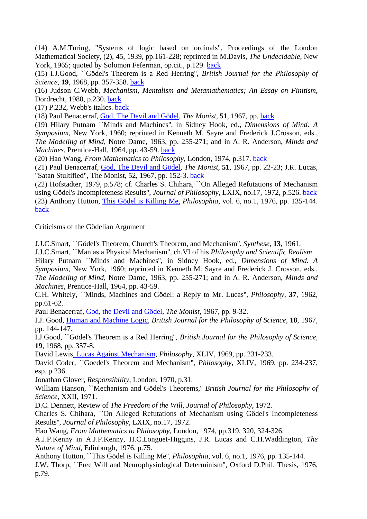(14) A.M.Turing, "Systems of logic based on ordinals", Proceedings of the London Mathematical Society, (2), 45, 1939, pp.161-228; reprinted in M.Davis, *The Undecidable*, New York, 1965; quoted by Solomon Feferman, op.cit., p.129. back

(15) I.J.Good, ``Gödel's Theorem is a Red Herring'', *British Journal for the Philosophy of Science*, **19**, 1968, pp. 357-358. back

(16) Judson C.Webb, *Mechanism, Mentalism and Metamathematics; An Essay on Finitism*, Dordrecht, 1980, p.230. back

(17) P.232, Webb's italics. back

(18) Paul Benacerraf, God, The Devil and Gödel, *The Monist*, **51**, 1967, pp. back

(19) Hilary Putnam ``Minds and Machines'', in Sidney Hook, ed., *Dimensions of Mind: A Symposium*, New York, 1960; reprinted in Kenneth M. Sayre and Frederick J.Crosson, eds., *The Modeling of Mind*, Notre Dame, 1963, pp. 255-271; and in A. R. Anderson, *Minds and Machines*, Prentice-Hall, 1964, pp. 43-59. back

(20) Hao Wang, *From Mathematics to Philosophy*, London, 1974, p.317. back

(21) Paul Benacerraf, God, The Devil and Gödel, *The Monist*, **51**, 1967, pp. 22-23; J.R. Lucas, "Satan Stultified", The Monist, 52, 1967, pp. 152-3. back

(22) Hofstadter, 1979, p.578; cf. Charles S. Chihara, ``On Alleged Refutations of Mechanism using Gödel's Incompleteness Results'', *Journal of Philosophy*, LXIX, no.17, 1972, p.526. back (23) Anthony Hutton, This Gödel is Killing Me, *Philosophia*, vol. 6, no.1, 1976, pp. 135-144. back

Criticisms of the Gödelian Argument

J.J.C.Smart, ``Gödel's Theorem, Church's Theorem, and Mechanism'', *Synthese*, **13**, 1961.

J.J.C.Smart, ``Man as a Physical Mechanism'', ch.VI of his *Philosophy and Scientific Realism*. Hilary Putnam ``Minds and Machines'', in Sidney Hook, ed., *Dimensions of Mind. A Symposium*, New York, 1960; reprinted in Kenneth M. Sayre and Frederick J. Crosson, eds., *The Modeling of Mind*, Notre Dame, 1963, pp. 255-271; and in A. R. Anderson, *Minds and Machines*, Prentice-Hall, 1964, pp. 43-59.

C.H. Whitely, ``Minds, Machines and Gödel: a Reply to Mr. Lucas'', *Philosophy*, **37**, 1962, pp.61-62.

Paul Benacerraf, God, the Devil and Gödel, *The Monist*, 1967, pp. 9-32.

I.J. Good, Human and Machine Logic, *British Journal for the Philosophy of Science*, **18**, 1967, pp. 144-147.

I.J.Good, ``Gödel's Theorem is a Red Herring'', *British Journal for the Philosophy of Science*, **19**, 1968, pp. 357-8.

David Lewis, Lucas Against Mechanism, *Philosophy*, XLIV, 1969, pp. 231-233.

David Coder, ``Goedel's Theorem and Mechanism'', *Philosophy*, XLIV, 1969, pp. 234-237, esp. p.236.

Jonathan Glover, *Responsibility*, London, 1970, p.31.

William Hanson, ``Mechanism and Gödel's Theorems,'' *British Journal for the Philosophy of Science*, XXII, 1971.

D.C. Dennett, Review of *The Freedom of the Will, Journal of Philosophy*, 1972.

Charles S. Chihara, ``On Alleged Refutations of Mechanism using Gödel's Incompleteness Results'', *Journal of Philosophy*, LXIX, no.17, 1972.

Hao Wang, *From Mathematics to Philosophy*, London, 1974, pp.319, 320, 324-326.

A.J.P.Kenny in A.J.P.Kenny, H.C.Longuet-Higgins, J.R. Lucas and C.H.Waddington, *The Nature of Mind*, Edinburgh, 1976, p.75.

Anthony Hutton, ``This Gödel is Killing Me'', *Philosophia*, vol. 6, no.1, 1976, pp. 135-144. J.W. Thorp, ``Free Will and Neurophysiological Determinism'', Oxford D.Phil. Thesis, 1976, p.79.